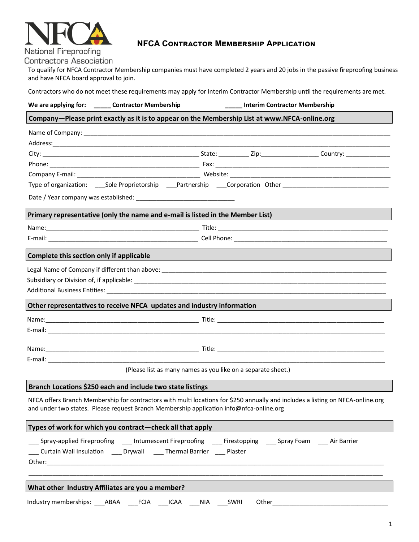

# **NFCA Contractor Membership Application**

**Contractors Association** 

To qualify for NFCA Contractor Membership companies must have completed 2 years and 20 jobs in the passive fireproofing business and have NFCA board approval to join.

Contractors who do not meet these requirements may apply for Interim Contractor Membership until the requirements are met.

|                                                                                                                                                                                                                            | We are applying for: _______ Contractor Membership                             | _Interim Contractor Membership                                                                                       |  |  |
|----------------------------------------------------------------------------------------------------------------------------------------------------------------------------------------------------------------------------|--------------------------------------------------------------------------------|----------------------------------------------------------------------------------------------------------------------|--|--|
|                                                                                                                                                                                                                            |                                                                                | Company-Please print exactly as it is to appear on the Membership List at www.NFCA-online.org                        |  |  |
|                                                                                                                                                                                                                            |                                                                                |                                                                                                                      |  |  |
|                                                                                                                                                                                                                            |                                                                                |                                                                                                                      |  |  |
|                                                                                                                                                                                                                            |                                                                                |                                                                                                                      |  |  |
|                                                                                                                                                                                                                            |                                                                                |                                                                                                                      |  |  |
|                                                                                                                                                                                                                            |                                                                                |                                                                                                                      |  |  |
|                                                                                                                                                                                                                            |                                                                                | Type of organization: ____Sole Proprietorship ____Partnership ____Corporation Other ________________________________ |  |  |
|                                                                                                                                                                                                                            |                                                                                |                                                                                                                      |  |  |
|                                                                                                                                                                                                                            | Primary representative (only the name and e-mail is listed in the Member List) |                                                                                                                      |  |  |
|                                                                                                                                                                                                                            |                                                                                |                                                                                                                      |  |  |
|                                                                                                                                                                                                                            |                                                                                |                                                                                                                      |  |  |
| Complete this section only if applicable                                                                                                                                                                                   |                                                                                |                                                                                                                      |  |  |
|                                                                                                                                                                                                                            |                                                                                |                                                                                                                      |  |  |
|                                                                                                                                                                                                                            |                                                                                |                                                                                                                      |  |  |
|                                                                                                                                                                                                                            |                                                                                |                                                                                                                      |  |  |
| Other representatives to receive NFCA updates and industry information                                                                                                                                                     |                                                                                |                                                                                                                      |  |  |
|                                                                                                                                                                                                                            |                                                                                |                                                                                                                      |  |  |
|                                                                                                                                                                                                                            |                                                                                |                                                                                                                      |  |  |
|                                                                                                                                                                                                                            |                                                                                |                                                                                                                      |  |  |
|                                                                                                                                                                                                                            |                                                                                |                                                                                                                      |  |  |
|                                                                                                                                                                                                                            |                                                                                |                                                                                                                      |  |  |
|                                                                                                                                                                                                                            |                                                                                | (Please list as many names as you like on a separate sheet.)                                                         |  |  |
|                                                                                                                                                                                                                            | Branch Locations \$250 each and include two state listings                     |                                                                                                                      |  |  |
| NFCA offers Branch Membership for contractors with multi locations for \$250 annually and includes a listing on NFCA-online.org<br>and under two states. Please request Branch Membership application info@nfca-online.org |                                                                                |                                                                                                                      |  |  |
|                                                                                                                                                                                                                            | Types of work for which you contract-check all that apply                      |                                                                                                                      |  |  |
|                                                                                                                                                                                                                            | Curtain Wall Insulation _____ Drywall ______ Thermal Barrier ______ Plaster    | Spray-applied Fireproofing _____ Intumescent Fireproofing ______ Firestopping ______ Spray Foam _____ Air Barrier    |  |  |
|                                                                                                                                                                                                                            |                                                                                |                                                                                                                      |  |  |
|                                                                                                                                                                                                                            | What other Industry Affiliates are you a member?                               |                                                                                                                      |  |  |
|                                                                                                                                                                                                                            | Industry memberships: ABAA FCIA ICAA NIA                                       | SWRI<br>Other                                                                                                        |  |  |